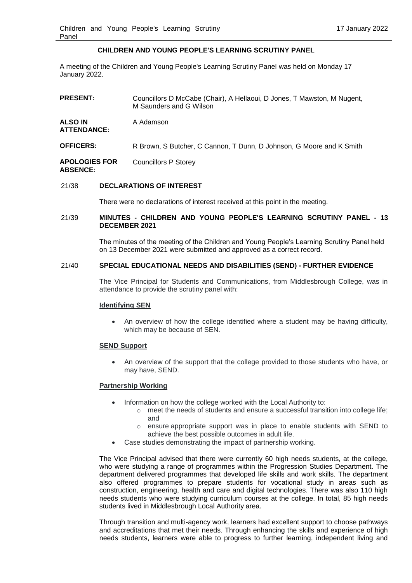# **CHILDREN AND YOUNG PEOPLE'S LEARNING SCRUTINY PANEL**

A meeting of the Children and Young People's Learning Scrutiny Panel was held on Monday 17 January 2022.

| <b>PRESENT:</b>                         | Councillors D McCabe (Chair), A Hellaoui, D Jones, T Mawston, M Nugent,<br>M Saunders and G Wilson |
|-----------------------------------------|----------------------------------------------------------------------------------------------------|
| <b>ALSO IN</b><br><b>ATTENDANCE:</b>    | A Adamson                                                                                          |
| <b>OFFICERS:</b>                        | R Brown, S Butcher, C Cannon, T Dunn, D Johnson, G Moore and K Smith                               |
| <b>APOLOGIES FOR</b><br><b>ABSENCE:</b> | Councillors P Storey                                                                               |

## 21/38 **DECLARATIONS OF INTEREST**

There were no declarations of interest received at this point in the meeting.

## 21/39 **MINUTES - CHILDREN AND YOUNG PEOPLE'S LEARNING SCRUTINY PANEL - 13 DECEMBER 2021**

The minutes of the meeting of the Children and Young People's Learning Scrutiny Panel held on 13 December 2021 were submitted and approved as a correct record.

### 21/40 **SPECIAL EDUCATIONAL NEEDS AND DISABILITIES (SEND) - FURTHER EVIDENCE**

The Vice Principal for Students and Communications, from Middlesbrough College, was in attendance to provide the scrutiny panel with:

### **Identifying SEN**

 An overview of how the college identified where a student may be having difficulty, which may be because of SEN.

### **SEND Support**

 An overview of the support that the college provided to those students who have, or may have, SEND.

# **Partnership Working**

- Information on how the college worked with the Local Authority to:
	- $\circ$  meet the needs of students and ensure a successful transition into college life; and
	- o ensure appropriate support was in place to enable students with SEND to achieve the best possible outcomes in adult life.
- Case studies demonstrating the impact of partnership working.

The Vice Principal advised that there were currently 60 high needs students, at the college, who were studying a range of programmes within the Progression Studies Department. The department delivered programmes that developed life skills and work skills. The department also offered programmes to prepare students for vocational study in areas such as construction, engineering, health and care and digital technologies. There was also 110 high needs students who were studying curriculum courses at the college. In total, 85 high needs students lived in Middlesbrough Local Authority area.

Through transition and multi-agency work, learners had excellent support to choose pathways and accreditations that met their needs. Through enhancing the skills and experience of high needs students, learners were able to progress to further learning, independent living and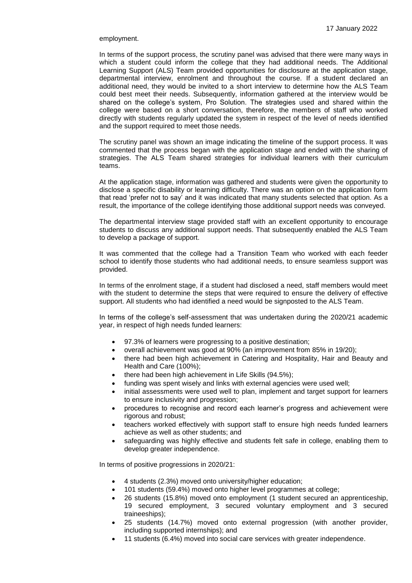### employment.

In terms of the support process, the scrutiny panel was advised that there were many ways in which a student could inform the college that they had additional needs. The Additional Learning Support (ALS) Team provided opportunities for disclosure at the application stage, departmental interview, enrolment and throughout the course. If a student declared an additional need, they would be invited to a short interview to determine how the ALS Team could best meet their needs. Subsequently, information gathered at the interview would be shared on the college's system, Pro Solution. The strategies used and shared within the college were based on a short conversation, therefore, the members of staff who worked directly with students regularly updated the system in respect of the level of needs identified and the support required to meet those needs.

The scrutiny panel was shown an image indicating the timeline of the support process. It was commented that the process began with the application stage and ended with the sharing of strategies. The ALS Team shared strategies for individual learners with their curriculum teams.

At the application stage, information was gathered and students were given the opportunity to disclose a specific disability or learning difficulty. There was an option on the application form that read 'prefer not to say' and it was indicated that many students selected that option. As a result, the importance of the college identifying those additional support needs was conveyed.

The departmental interview stage provided staff with an excellent opportunity to encourage students to discuss any additional support needs. That subsequently enabled the ALS Team to develop a package of support.

It was commented that the college had a Transition Team who worked with each feeder school to identify those students who had additional needs, to ensure seamless support was provided.

In terms of the enrolment stage, if a student had disclosed a need, staff members would meet with the student to determine the steps that were required to ensure the delivery of effective support. All students who had identified a need would be signposted to the ALS Team.

In terms of the college's self-assessment that was undertaken during the 2020/21 academic year, in respect of high needs funded learners:

- 97.3% of learners were progressing to a positive destination;
- overall achievement was good at 90% (an improvement from 85% in 19/20);
- there had been high achievement in Catering and Hospitality, Hair and Beauty and Health and Care (100%);
- there had been high achievement in Life Skills (94.5%);
- funding was spent wisely and links with external agencies were used well;
- initial assessments were used well to plan, implement and target support for learners to ensure inclusivity and progression;
- procedures to recognise and record each learner's progress and achievement were rigorous and robust;
- teachers worked effectively with support staff to ensure high needs funded learners achieve as well as other students; and
- safeguarding was highly effective and students felt safe in college, enabling them to develop greater independence.

In terms of positive progressions in 2020/21:

- 4 students (2.3%) moved onto university/higher education;
- 101 students (59.4%) moved onto higher level programmes at college;
- 26 students (15.8%) moved onto employment (1 student secured an apprenticeship, 19 secured employment, 3 secured voluntary employment and 3 secured traineeships);
- 25 students (14.7%) moved onto external progression (with another provider, including supported internships); and
- 11 students (6.4%) moved into social care services with greater independence.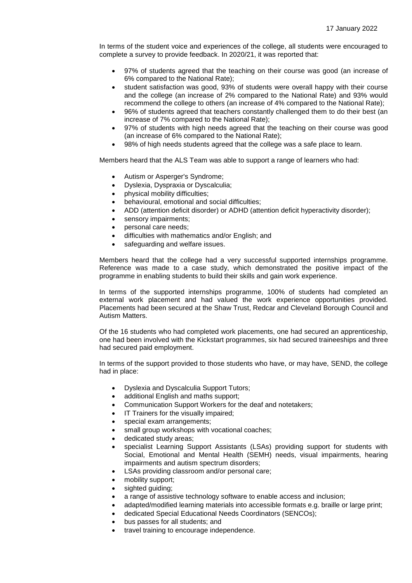In terms of the student voice and experiences of the college, all students were encouraged to complete a survey to provide feedback. In 2020/21, it was reported that:

- 97% of students agreed that the teaching on their course was good (an increase of 6% compared to the National Rate);
- student satisfaction was good, 93% of students were overall happy with their course and the college (an increase of 2% compared to the National Rate) and 93% would recommend the college to others (an increase of 4% compared to the National Rate);
- 96% of students agreed that teachers constantly challenged them to do their best (an increase of 7% compared to the National Rate);
- 97% of students with high needs agreed that the teaching on their course was good (an increase of 6% compared to the National Rate);
- 98% of high needs students agreed that the college was a safe place to learn.

Members heard that the ALS Team was able to support a range of learners who had:

- Autism or Asperger's Syndrome;
- Dyslexia, Dyspraxia or Dyscalculia;
- physical mobility difficulties;
- behavioural, emotional and social difficulties;
- ADD (attention deficit disorder) or ADHD (attention deficit hyperactivity disorder);
- sensory impairments;
- personal care needs;
- difficulties with mathematics and/or English; and
- safeguarding and welfare issues.

Members heard that the college had a very successful supported internships programme. Reference was made to a case study, which demonstrated the positive impact of the programme in enabling students to build their skills and gain work experience.

In terms of the supported internships programme, 100% of students had completed an external work placement and had valued the work experience opportunities provided. Placements had been secured at the Shaw Trust, Redcar and Cleveland Borough Council and Autism Matters.

Of the 16 students who had completed work placements, one had secured an apprenticeship, one had been involved with the Kickstart programmes, six had secured traineeships and three had secured paid employment.

In terms of the support provided to those students who have, or may have, SEND, the college had in place:

- Dyslexia and Dyscalculia Support Tutors;
- additional English and maths support;
- Communication Support Workers for the deaf and notetakers;
- IT Trainers for the visually impaired;
- special exam arrangements;
- small group workshops with vocational coaches;
- dedicated study areas;
- specialist Learning Support Assistants (LSAs) providing support for students with Social, Emotional and Mental Health (SEMH) needs, visual impairments, hearing impairments and autism spectrum disorders;
- LSAs providing classroom and/or personal care;
- mobility support;
- sighted guiding;
- a range of assistive technology software to enable access and inclusion;
- adapted/modified learning materials into accessible formats e.g. braille or large print;
- dedicated Special Educational Needs Coordinators (SENCOs);
- bus passes for all students; and
- travel training to encourage independence.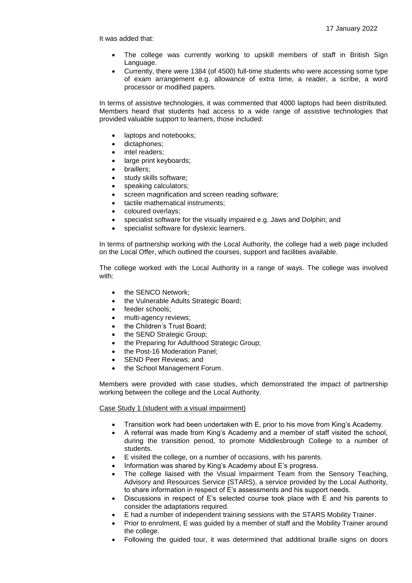It was added that:

- The college was currently working to upskill members of staff in British Sign Language.
- Currently, there were 1384 (of 4500) full-time students who were accessing some type of exam arrangement e.g. allowance of extra time, a reader, a scribe, a word processor or modified papers.

In terms of assistive technologies, it was commented that 4000 laptops had been distributed. Members heard that students had access to a wide range of assistive technologies that provided valuable support to learners, those included:

- laptops and notebooks;
- dictaphones:
- intel readers;
- large print keyboards;
- braillers;
- study skills software;
- speaking calculators;
- screen magnification and screen reading software;
- tactile mathematical instruments;
- coloured overlays;
- specialist software for the visually impaired e.g. Jaws and Dolphin; and
- specialist software for dyslexic learners.

In terms of partnership working with the Local Authority, the college had a web page included on the Local Offer, which outlined the courses, support and facilities available.

The college worked with the Local Authority in a range of ways. The college was involved with:

- the SENCO Network;
- the Vulnerable Adults Strategic Board;
- feeder schools;
- multi-agency reviews;
- the Children's Trust Board;
- the SEND Strategic Group;
- the Preparing for Adulthood Strategic Group;
- the Post-16 Moderation Panel;
- SEND Peer Reviews; and
- the School Management Forum.

Members were provided with case studies, which demonstrated the impact of partnership working between the college and the Local Authority.

Case Study 1 (student with a visual impairment)

- Transition work had been undertaken with E, prior to his move from King's Academy.
- A referral was made from King's Academy and a member of staff visited the school, during the transition period, to promote Middlesbrough College to a number of students.
- E visited the college, on a number of occasions, with his parents.
- Information was shared by King's Academy about E's progress.
- The college liaised with the Visual Impairment Team from the Sensory Teaching, Advisory and Resources Service (STARS), a service provided by the Local Authority, to share information in respect of E's assessments and his support needs.
- Discussions in respect of E's selected course took place with E and his parents to consider the adaptations required.
- E had a number of independent training sessions with the STARS Mobility Trainer.
- Prior to enrolment, E was guided by a member of staff and the Mobility Trainer around the college.
- Following the guided tour, it was determined that additional braille signs on doors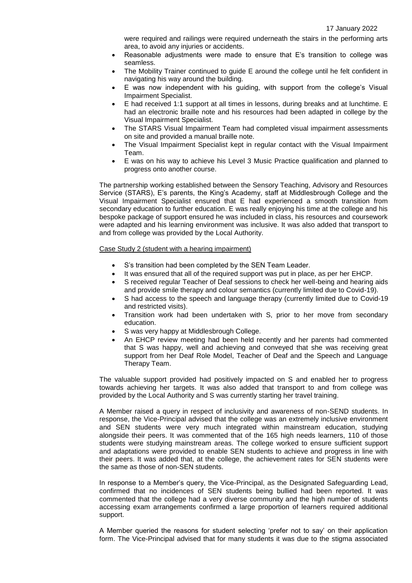were required and railings were required underneath the stairs in the performing arts area, to avoid any injuries or accidents.

- Reasonable adjustments were made to ensure that E's transition to college was seamless.
- The Mobility Trainer continued to guide E around the college until he felt confident in navigating his way around the building.
- E was now independent with his guiding, with support from the college's Visual Impairment Specialist.
- E had received 1:1 support at all times in lessons, during breaks and at lunchtime. E had an electronic braille note and his resources had been adapted in college by the Visual Impairment Specialist.
- The STARS Visual Impairment Team had completed visual impairment assessments on site and provided a manual braille note.
- The Visual Impairment Specialist kept in regular contact with the Visual Impairment Team.
- E was on his way to achieve his Level 3 Music Practice qualification and planned to progress onto another course.

The partnership working established between the Sensory Teaching, Advisory and Resources Service (STARS), E's parents, the King's Academy, staff at Middlesbrough College and the Visual Impairment Specialist ensured that E had experienced a smooth transition from secondary education to further education. E was really enjoying his time at the college and his bespoke package of support ensured he was included in class, his resources and coursework were adapted and his learning environment was inclusive. It was also added that transport to and from college was provided by the Local Authority.

### Case Study 2 (student with a hearing impairment)

- S's transition had been completed by the SEN Team Leader.
- It was ensured that all of the required support was put in place, as per her EHCP.
- S received regular Teacher of Deaf sessions to check her well-being and hearing aids and provide smile therapy and colour semantics (currently limited due to Covid-19).
- S had access to the speech and language therapy (currently limited due to Covid-19 and restricted visits).
- Transition work had been undertaken with S, prior to her move from secondary education.
- S was very happy at Middlesbrough College.
- An EHCP review meeting had been held recently and her parents had commented that S was happy, well and achieving and conveyed that she was receiving great support from her Deaf Role Model, Teacher of Deaf and the Speech and Language Therapy Team.

The valuable support provided had positively impacted on S and enabled her to progress towards achieving her targets. It was also added that transport to and from college was provided by the Local Authority and S was currently starting her travel training.

A Member raised a query in respect of inclusivity and awareness of non-SEND students. In response, the Vice-Principal advised that the college was an extremely inclusive environment and SEN students were very much integrated within mainstream education, studying alongside their peers. It was commented that of the 165 high needs learners, 110 of those students were studying mainstream areas. The college worked to ensure sufficient support and adaptations were provided to enable SEN students to achieve and progress in line with their peers. It was added that, at the college, the achievement rates for SEN students were the same as those of non-SEN students.

In response to a Member's query, the Vice-Principal, as the Designated Safeguarding Lead, confirmed that no incidences of SEN students being bullied had been reported. It was commented that the college had a very diverse community and the high number of students accessing exam arrangements confirmed a large proportion of learners required additional support.

A Member queried the reasons for student selecting 'prefer not to say' on their application form. The Vice-Principal advised that for many students it was due to the stigma associated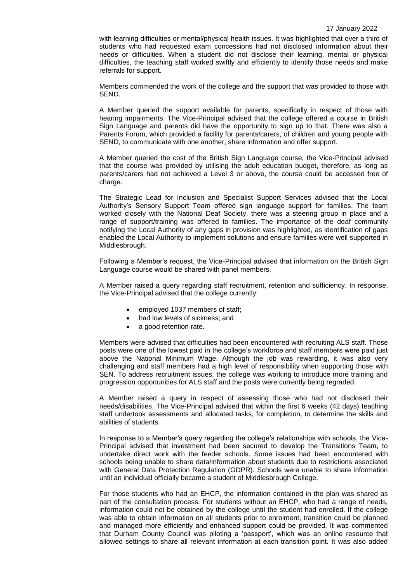with learning difficulties or mental/physical health issues. It was highlighted that over a third of students who had requested exam concessions had not disclosed information about their needs or difficulties. When a student did not disclose their learning, mental or physical difficulties, the teaching staff worked swiftly and efficiently to identify those needs and make referrals for support.

Members commended the work of the college and the support that was provided to those with SEND.

A Member queried the support available for parents, specifically in respect of those with hearing impairments. The Vice-Principal advised that the college offered a course in British Sign Language and parents did have the opportunity to sign up to that. There was also a Parents Forum, which provided a facility for parents/carers, of children and young people with SEND, to communicate with one another, share information and offer support.

A Member queried the cost of the British Sign Language course, the Vice-Principal advised that the course was provided by utilising the adult education budget, therefore, as long as parents/carers had not achieved a Level 3 or above, the course could be accessed free of charge.

The Strategic Lead for Inclusion and Specialist Support Services advised that the Local Authority's Sensory Support Team offered sign language support for families. The team worked closely with the National Deaf Society, there was a steering group in place and a range of support/training was offered to families. The importance of the deaf community notifying the Local Authority of any gaps in provision was highlighted, as identification of gaps enabled the Local Authority to implement solutions and ensure families were well supported in Middlesbrough.

Following a Member's request, the Vice-Principal advised that information on the British Sign Language course would be shared with panel members.

A Member raised a query regarding staff recruitment, retention and sufficiency. In response, the Vice-Principal advised that the college currently:

- employed 1037 members of staff;
- had low levels of sickness; and
- a good retention rate.

Members were advised that difficulties had been encountered with recruiting ALS staff. Those posts were one of the lowest paid in the college's workforce and staff members were paid just above the National Minimum Wage. Although the job was rewarding, it was also very challenging and staff members had a high level of responsibility when supporting those with SEN. To address recruitment issues, the college was working to introduce more training and progression opportunities for ALS staff and the posts were currently being regraded.

A Member raised a query in respect of assessing those who had not disclosed their needs/disabilities. The Vice-Principal advised that within the first 6 weeks (42 days) teaching staff undertook assessments and allocated tasks, for completion, to determine the skills and abilities of students.

In response to a Member's query regarding the college's relationships with schools, the Vice-Principal advised that investment had been secured to develop the Transitions Team, to undertake direct work with the feeder schools. Some issues had been encountered with schools being unable to share data/information about students due to restrictions associated with General Data Protection Regulation (GDPR). Schools were unable to share information until an individual officially became a student of Middlesbrough College.

For those students who had an EHCP, the information contained in the plan was shared as part of the consultation process. For students without an EHCP, who had a range of needs, information could not be obtained by the college until the student had enrolled. If the college was able to obtain information on all students prior to enrolment, transition could be planned and managed more efficiently and enhanced support could be provided. It was commented that Durham County Council was piloting a 'passport', which was an online resource that allowed settings to share all relevant information at each transition point. It was also added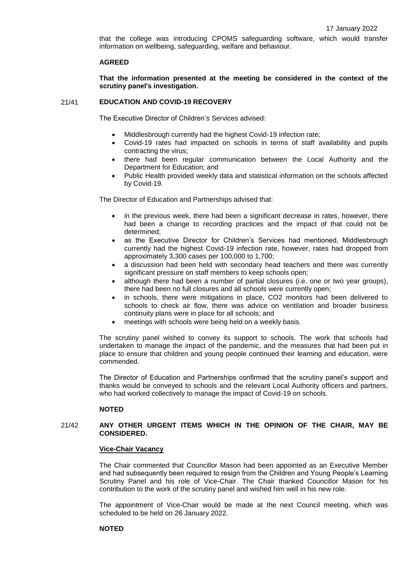that the college was introducing CPOMS safeguarding software, which would transfer information on wellbeing, safeguarding, welfare and behaviour.

### **AGREED**

**That the information presented at the meeting be considered in the context of the scrutiny panel's investigation.**

## 21/41 **EDUCATION AND COVID-19 RECOVERY**

The Executive Director of Children's Services advised:

- Middlesbrough currently had the highest Covid-19 infection rate;
- Covid-19 rates had impacted on schools in terms of staff availability and pupils contracting the virus;
- there had been regular communication between the Local Authority and the Department for Education; and
- Public Health provided weekly data and statistical information on the schools affected by Covid-19.

The Director of Education and Partnerships advised that:

- in the previous week, there had been a significant decrease in rates, however, there had been a change to recording practices and the impact of that could not be determined;
- as the Executive Director for Children's Services had mentioned, Middlesbrough currently had the highest Covid-19 infection rate, however, rates had dropped from approximately 3,300 cases per 100,000 to 1,700;
- a discussion had been held with secondary head teachers and there was currently significant pressure on staff members to keep schools open;
- although there had been a number of partial closures (i.e. one or two year groups), there had been no full closures and all schools were currently open;
- in schools, there were mitigations in place, CO2 monitors had been delivered to schools to check air flow, there was advice on ventilation and broader business continuity plans were in place for all schools; and
- meetings with schools were being held on a weekly basis.

The scrutiny panel wished to convey its support to schools. The work that schools had undertaken to manage the impact of the pandemic, and the measures that had been put in place to ensure that children and young people continued their learning and education, were commended.

The Director of Education and Partnerships confirmed that the scrutiny panel's support and thanks would be conveyed to schools and the relevant Local Authority officers and partners, who had worked collectively to manage the impact of Covid-19 on schools.

# **NOTED**

## 21/42 **ANY OTHER URGENT ITEMS WHICH IN THE OPINION OF THE CHAIR, MAY BE CONSIDERED.**

### **Vice-Chair Vacancy**

The Chair commented that Councillor Mason had been appointed as an Executive Member and had subsequently been required to resign from the Children and Young People's Learning Scrutiny Panel and his role of Vice-Chair. The Chair thanked Councillor Mason for his contribution to the work of the scrutiny panel and wished him well in his new role.

The appointment of Vice-Chair would be made at the next Council meeting, which was scheduled to be held on 26 January 2022.

### **NOTED**